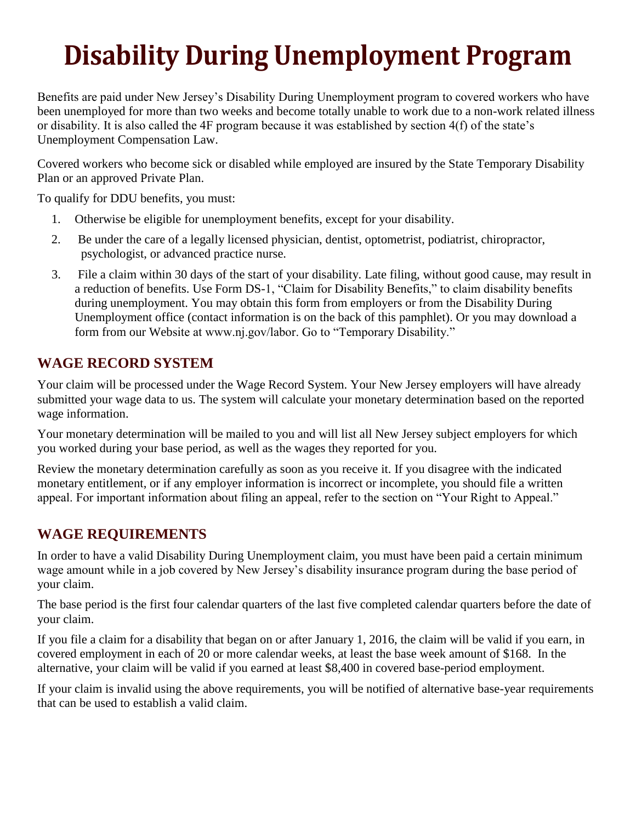# **Disability During Unemployment Program**

Benefits are paid under New Jersey's Disability During Unemployment program to covered workers who have been unemployed for more than two weeks and become totally unable to work due to a non-work related illness or disability. It is also called the 4F program because it was established by section 4(f) of the state's Unemployment Compensation Law.

Covered workers who become sick or disabled while employed are insured by the State Temporary Disability Plan or an approved Private Plan.

To qualify for DDU benefits, you must:

- 1. Otherwise be eligible for unemployment benefits, except for your disability.
- 2. Be under the care of a legally licensed physician, dentist, optometrist, podiatrist, chiropractor, psychologist, or advanced practice nurse.
- 3. File a claim within 30 days of the start of your disability. Late filing, without good cause, may result in a reduction of benefits. Use Form DS-1, "Claim for Disability Benefits," to claim disability benefits during unemployment. You may obtain this form from employers or from the Disability During Unemployment office (contact information is on the back of this pamphlet). Or you may download a form from our Website at www.nj.gov/labor. Go to "Temporary Disability."

# **WAGE RECORD SYSTEM**

Your claim will be processed under the Wage Record System. Your New Jersey employers will have already submitted your wage data to us. The system will calculate your monetary determination based on the reported wage information.

Your monetary determination will be mailed to you and will list all New Jersey subject employers for which you worked during your base period, as well as the wages they reported for you.

Review the monetary determination carefully as soon as you receive it. If you disagree with the indicated monetary entitlement, or if any employer information is incorrect or incomplete, you should file a written appeal. For important information about filing an appeal, refer to the section on "Your Right to Appeal."

# **WAGE REQUIREMENTS**

In order to have a valid Disability During Unemployment claim, you must have been paid a certain minimum wage amount while in a job covered by New Jersey's disability insurance program during the base period of your claim.

The base period is the first four calendar quarters of the last five completed calendar quarters before the date of your claim.

If you file a claim for a disability that began on or after January 1, 2016, the claim will be valid if you earn, in covered employment in each of 20 or more calendar weeks, at least the base week amount of \$168. In the alternative, your claim will be valid if you earned at least \$8,400 in covered base-period employment.

If your claim is invalid using the above requirements, you will be notified of alternative base-year requirements that can be used to establish a valid claim.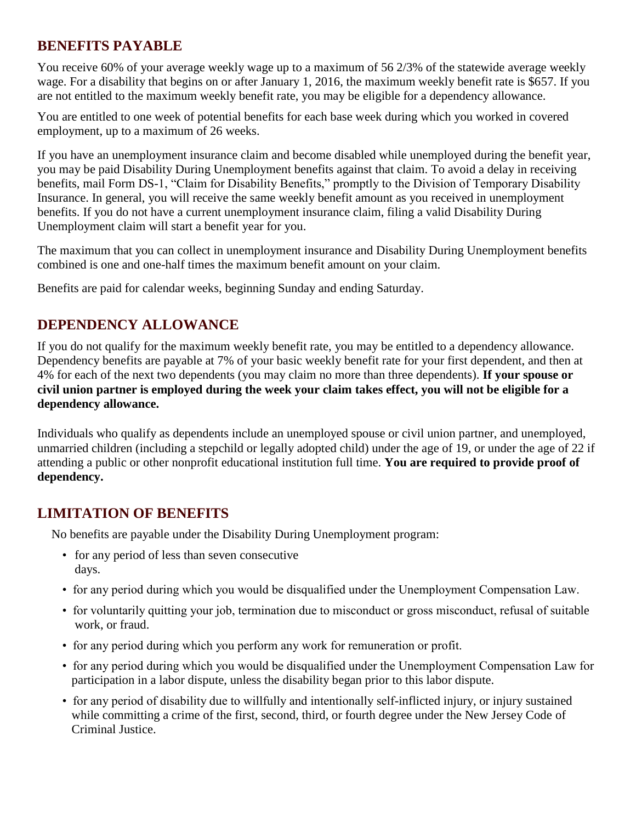## **BENEFITS PAYABLE**

You receive 60% of your average weekly wage up to a maximum of 56 2/3% of the statewide average weekly wage. For a disability that begins on or after January 1, 2016, the maximum weekly benefit rate is \$657. If you are not entitled to the maximum weekly benefit rate, you may be eligible for a dependency allowance.

You are entitled to one week of potential benefits for each base week during which you worked in covered employment, up to a maximum of 26 weeks.

If you have an unemployment insurance claim and become disabled while unemployed during the benefit year, you may be paid Disability During Unemployment benefits against that claim. To avoid a delay in receiving benefits, mail Form DS-1, "Claim for Disability Benefits," promptly to the Division of Temporary Disability Insurance. In general, you will receive the same weekly benefit amount as you received in unemployment benefits. If you do not have a current unemployment insurance claim, filing a valid Disability During Unemployment claim will start a benefit year for you.

The maximum that you can collect in unemployment insurance and Disability During Unemployment benefits combined is one and one-half times the maximum benefit amount on your claim.

Benefits are paid for calendar weeks, beginning Sunday and ending Saturday.

# **DEPENDENCY ALLOWANCE**

If you do not qualify for the maximum weekly benefit rate, you may be entitled to a dependency allowance. Dependency benefits are payable at 7% of your basic weekly benefit rate for your first dependent, and then at 4% for each of the next two dependents (you may claim no more than three dependents). **If your spouse or civil union partner is employed during the week your claim takes effect, you will not be eligible for a dependency allowance.**

Individuals who qualify as dependents include an unemployed spouse or civil union partner, and unemployed, unmarried children (including a stepchild or legally adopted child) under the age of 19, or under the age of 22 if attending a public or other nonprofit educational institution full time. **You are required to provide proof of dependency.**

# **LIMITATION OF BENEFITS**

No benefits are payable under the Disability During Unemployment program:

- for any period of less than seven consecutive days.
- for any period during which you would be disqualified under the Unemployment Compensation Law.
- for voluntarily quitting your job, termination due to misconduct or gross misconduct, refusal of suitable work, or fraud.
- for any period during which you perform any work for remuneration or profit.
- for any period during which you would be disqualified under the Unemployment Compensation Law for participation in a labor dispute, unless the disability began prior to this labor dispute.
- for any period of disability due to willfully and intentionally self-inflicted injury, or injury sustained while committing a crime of the first, second, third, or fourth degree under the New Jersey Code of Criminal Justice.